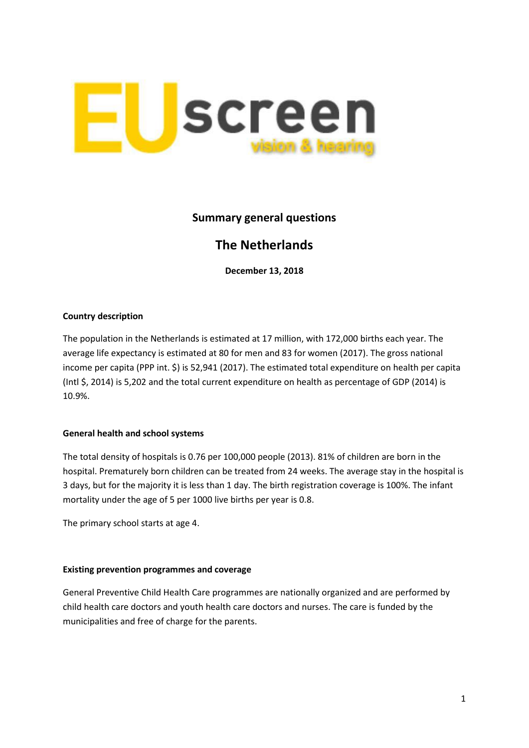

## **Summary general questions**

# **The Netherlands**

**December 13, 2018**

### **Country description**

The population in the Netherlands is estimated at 17 million, with 172,000 births each year. The average life expectancy is estimated at 80 for men and 83 for women (2017). The gross national income per capita (PPP int. \$) is 52,941 (2017). The estimated total expenditure on health per capita (Intl \$, 2014) is 5,202 and the total current expenditure on health as percentage of GDP (2014) is 10.9%.

### **General health and school systems**

The total density of hospitals is 0.76 per 100,000 people (2013). 81% of children are born in the hospital. Prematurely born children can be treated from 24 weeks. The average stay in the hospital is 3 days, but for the majority it is less than 1 day. The birth registration coverage is 100%. The infant mortality under the age of 5 per 1000 live births per year is 0.8.

The primary school starts at age 4.

### **Existing prevention programmes and coverage**

General Preventive Child Health Care programmes are nationally organized and are performed by child health care doctors and youth health care doctors and nurses. The care is funded by the municipalities and free of charge for the parents.